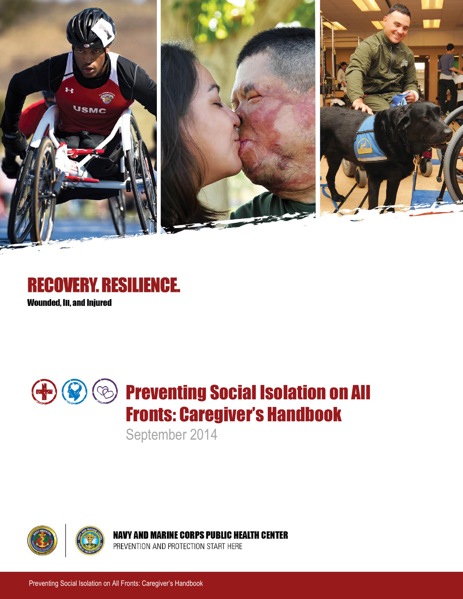





September 2014



**NAVY AND MARINE CORPS PUBLIC HEALTH CENTER** 

PREVENTION AND PROTECTION START HERE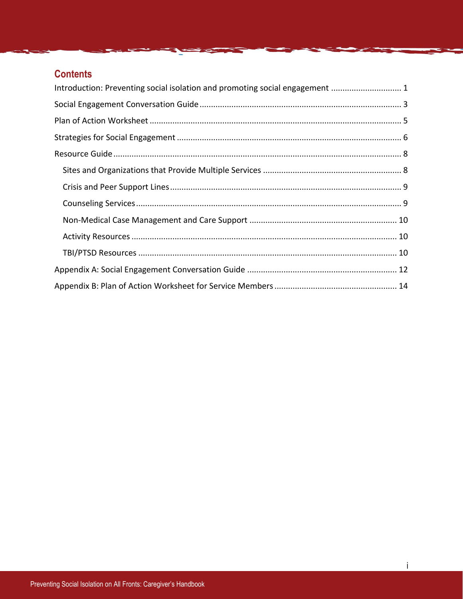# **Contents**

| Introduction: Preventing social isolation and promoting social engagement  1 |
|------------------------------------------------------------------------------|
|                                                                              |
|                                                                              |
|                                                                              |
|                                                                              |
|                                                                              |
|                                                                              |
|                                                                              |
|                                                                              |
|                                                                              |
|                                                                              |
|                                                                              |
|                                                                              |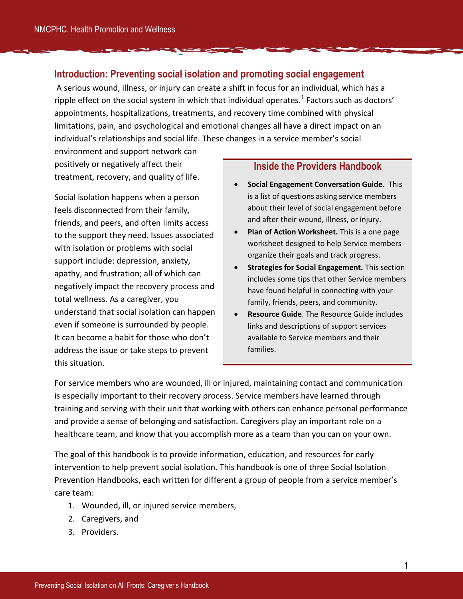## <span id="page-2-0"></span>**Introduction: Preventing social isolation and promoting social engagement**

A serious wound, illness, or injury can create a shift in focus for an individual, which has a ripple effect on the social system in which that individual operates.<sup>1</sup> Factors such as doctors' appointments, hospitalizations, treatments, and recovery time combined with physical limitations, pain, and psychological and emotional changes all have a direct impact on an individual's relationships and social life. These changes in a service member's social

environment and support network can positively or negatively affect their treatment, recovery, and quality of life.

Social isolation happens when a person feels disconnected from their family, friends, and peers, and often limits access to the support they need. Issues associated with isolation or problems with social support include: depression, anxiety, apathy, and frustration; all of which can negatively impact the recovery process and total wellness. As a caregiver, you understand that social isolation can happen even if someone is surrounded by people. It can become a habit for those who don't address the issue or take steps to prevent this situation.

## **Inside the Providers Handbook**

- **Social Engagement Conversation Guide.** This is a list of questions asking service members about their level of social engagement before and after their wound, illness, or injury.
- **Plan of Action Worksheet.** This is a one page worksheet designed to help Service members organize their goals and track progress.
- **Strategies for Social Engagement.** This section includes some tips that other Service members have found helpful in connecting with your family, friends, peers, and community.
- **Resource Guide**. The Resource Guide includes links and descriptions of support services available to Service members and their families.

For service members who are wounded, ill or injured, maintaining contact and communication is especially important to their recovery process. Service members have learned through training and serving with their unit that working with others can enhance personal performance and provide a sense of belonging and satisfaction. Caregivers play an important role on a healthcare team, and know that you accomplish more as a team than you can on your own.

The goal of this handbook is to provide information, education, and resources for early intervention to help prevent social isolation. This handbook is one of three Social Isolation Prevention Handbooks, each written for different a group of people from a service member's care team:

- 1. Wounded, ill, or injured service members,
- 2. Caregivers, and
- 3. Providers.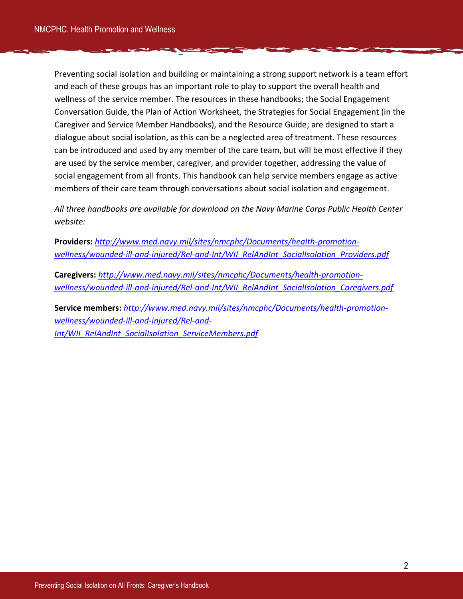Preventing social isolation and building or maintaining a strong support network is a team effort and each of these groups has an important role to play to support the overall health and wellness of the service member. The resources in these handbooks; the Social Engagement Conversation Guide, the Plan of Action Worksheet, the Strategies for Social Engagement (in the Caregiver and Service Member Handbooks), and the Resource Guide; are designed to start a dialogue about social isolation, as this can be a neglected area of treatment. These resources can be introduced and used by any member of the care team, but will be most effective if they are used by the service member, caregiver, and provider together, addressing the value of social engagement from all fronts. This handbook can help service members engage as active members of their care team through conversations about social isolation and engagement.

*All three handbooks are available for download on the Navy Marine Corps Public Health Center website:* 

**Providers:** *[http://www.med.navy.mil/sites/nmcphc/Documents/health-promotion](http://www.med.navy.mil/sites/nmcphc/Documents/health-promotion-wellness/wounded-ill-and-injured/Rel-and-Int/WII_RelAndInt_SocialIsolation_Providers.pdf)[wellness/wounded-ill-and-injured/Rel-and-Int/WII\\_RelAndInt\\_SocialIsolation\\_Providers.pdf](http://www.med.navy.mil/sites/nmcphc/Documents/health-promotion-wellness/wounded-ill-and-injured/Rel-and-Int/WII_RelAndInt_SocialIsolation_Providers.pdf)*

**Caregivers:** *[http://www.med.navy.mil/sites/nmcphc/Documents/health-promotion](http://www.med.navy.mil/sites/nmcphc/Documents/health-promotion-wellness/wounded-ill-and-injured/Rel-and-Int/WII_RelAndInt_SocialIsolation_Caregivers.pdf)[wellness/wounded-ill-and-injured/Rel-and-Int/WII\\_RelAndInt\\_SocialIsolation\\_Caregivers.pdf](http://www.med.navy.mil/sites/nmcphc/Documents/health-promotion-wellness/wounded-ill-and-injured/Rel-and-Int/WII_RelAndInt_SocialIsolation_Caregivers.pdf)*

**Service members:** *[http://www.med.navy.mil/sites/nmcphc/Documents/health-promotion](http://www.med.navy.mil/sites/nmcphc/Documents/health-promotion-wellness/wounded-ill-and-injured/Rel-and-Int/WII_RelAndInt_SocialIsolation_ServiceMembers.pdf)[wellness/wounded-ill-and-injured/Rel-and-](http://www.med.navy.mil/sites/nmcphc/Documents/health-promotion-wellness/wounded-ill-and-injured/Rel-and-Int/WII_RelAndInt_SocialIsolation_ServiceMembers.pdf)[Int/WII\\_RelAndInt\\_SocialIsolation\\_ServiceMembers.pdf](http://www.med.navy.mil/sites/nmcphc/Documents/health-promotion-wellness/wounded-ill-and-injured/Rel-and-Int/WII_RelAndInt_SocialIsolation_ServiceMembers.pdf)*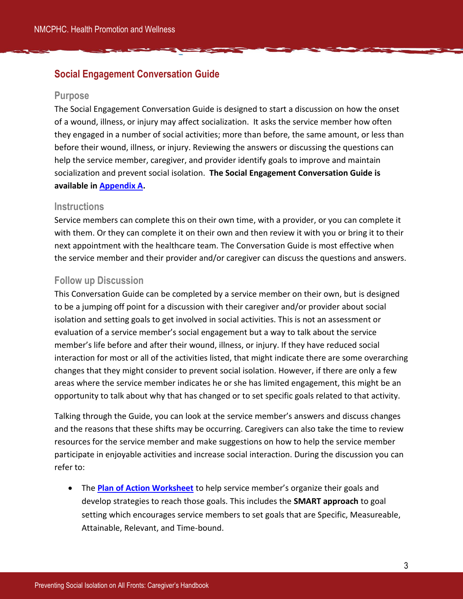## <span id="page-4-0"></span>**Social Engagement Conversation Guide**

### **Purpose**

The Social Engagement Conversation Guide is designed to start a discussion on how the onset of a wound, illness, or injury may affect socialization. It asks the service member how often they engaged in a number of social activities; more than before, the same amount, or less than before their wound, illness, or injury. Reviewing the answers or discussing the questions can help the service member, caregiver, and provider identify goals to improve and maintain socialization and prevent social isolation. **The Social Engagement Conversation Guide is available in [Appendix A.](#page-13-0)** 

## **Instructions**

Service members can complete this on their own time, with a provider, or you can complete it with them. Or they can complete it on their own and then review it with you or bring it to their next appointment with the healthcare team. The Conversation Guide is most effective when the service member and their provider and/or caregiver can discuss the questions and answers.

## **Follow up Discussion**

This Conversation Guide can be completed by a service member on their own, but is designed to be a jumping off point for a discussion with their caregiver and/or provider about social isolation and setting goals to get involved in social activities. This is not an assessment or evaluation of a service member's social engagement but a way to talk about the service member's life before and after their wound, illness, or injury. If they have reduced social interaction for most or all of the activities listed, that might indicate there are some overarching changes that they might consider to prevent social isolation. However, if there are only a few areas where the service member indicates he or she has limited engagement, this might be an opportunity to talk about why that has changed or to set specific goals related to that activity.

Talking through the Guide, you can look at the service member's answers and discuss changes and the reasons that these shifts may be occurring. Caregivers can also take the time to review resources for the service member and make suggestions on how to help the service member participate in enjoyable activities and increase social interaction. During the discussion you can refer to:

 The **[Plan of Action Worksheet](#page-15-0)** to help service member's organize their goals and develop strategies to reach those goals. This includes the **SMART approach** to goal setting which encourages service members to set goals that are Specific, Measureable, Attainable, Relevant, and Time-bound.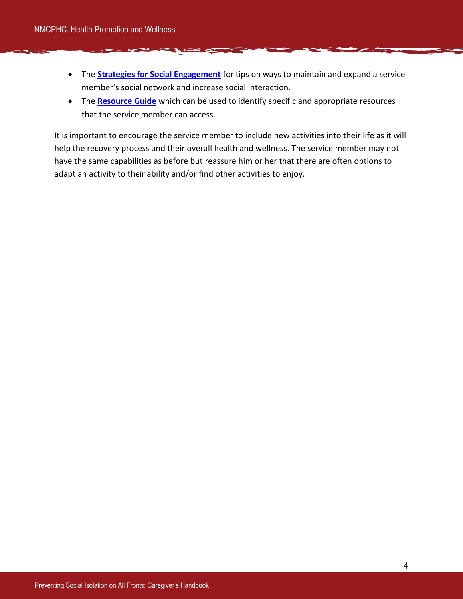- **•** The **[Strategies for Social Engagement](#page-7-0)** for tips on ways to maintain and expand a service member's social network and increase social interaction.
- The **[Resource Guide](#page-9-0)** which can be used to identify specific and appropriate resources that the service member can access.

It is important to encourage the service member to include new activities into their life as it will help the recovery process and their overall health and wellness. The service member may not have the same capabilities as before but reassure him or her that there are often options to adapt an activity to their ability and/or find other activities to enjoy.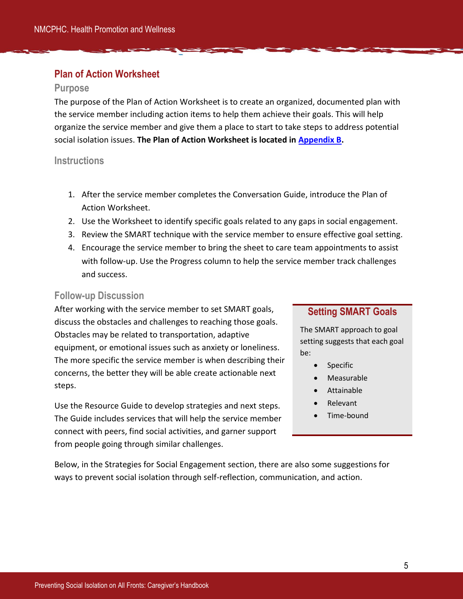## <span id="page-6-0"></span>**Plan of Action Worksheet**

### **Purpose**

The purpose of the Plan of Action Worksheet is to create an organized, documented plan with the service member including action items to help them achieve their goals. This will help organize the service member and give them a place to start to take steps to address potential social isolation issues. **The Plan of Action Worksheet is located in [Appendix B.](#page-15-0)** 

## **Instructions**

- 1. After the service member completes the Conversation Guide, introduce the Plan of Action Worksheet.
- 2. Use the Worksheet to identify specific goals related to any gaps in social engagement.
- 3. Review the SMART technique with the service member to ensure effective goal setting.
- 4. Encourage the service member to bring the sheet to care team appointments to assist with follow-up. Use the Progress column to help the service member track challenges and success.

## **Follow-up Discussion**

After working with the service member to set SMART goals, discuss the obstacles and challenges to reaching those goals. Obstacles may be related to transportation, adaptive equipment, or emotional issues such as anxiety or loneliness. The more specific the service member is when describing their concerns, the better they will be able create actionable next steps.

Use the Resource Guide to develop strategies and next steps. The Guide includes services that will help the service member connect with peers, find social activities, and garner support from people going through similar challenges.

## **Setting SMART Goals**

The SMART approach to goal setting suggests that each goal be:

- Specific
- Measurable
- Attainable
- Relevant
- Time-bound

Below, in the Strategies for Social Engagement section, there are also some suggestions for ways to prevent social isolation through self-reflection, communication, and action.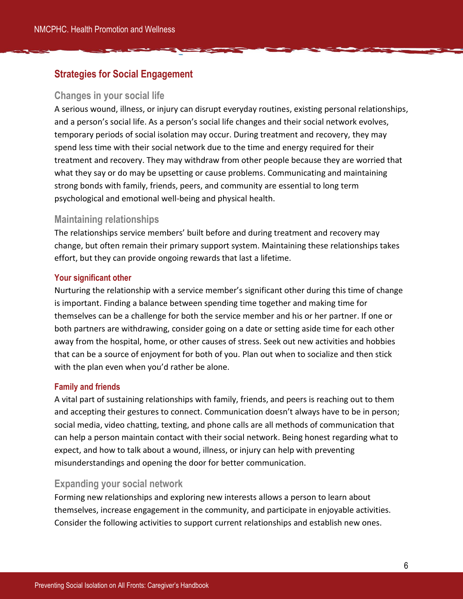## <span id="page-7-0"></span>**Strategies for Social Engagement**

### **Changes in your social life**

A serious wound, illness, or injury can disrupt everyday routines, existing personal relationships, and a person's social life. As a person's social life changes and their social network evolves, temporary periods of social isolation may occur. During treatment and recovery, they may spend less time with their social network due to the time and energy required for their treatment and recovery. They may withdraw from other people because they are worried that what they say or do may be upsetting or cause problems. Communicating and maintaining strong bonds with family, friends, peers, and community are essential to long term psychological and emotional well-being and physical health.

#### **Maintaining relationships**

The relationships service members' built before and during treatment and recovery may change, but often remain their primary support system. Maintaining these relationships takes effort, but they can provide ongoing rewards that last a lifetime.

#### **Your significant other**

Nurturing the relationship with a service member's significant other during this time of change is important. Finding a balance between spending time together and making time for themselves can be a challenge for both the service member and his or her partner. If one or both partners are withdrawing, consider going on a date or setting aside time for each other away from the hospital, home, or other causes of stress. Seek out new activities and hobbies that can be a source of enjoyment for both of you. Plan out when to socialize and then stick with the plan even when you'd rather be alone.

#### **Family and friends**

A vital part of sustaining relationships with family, friends, and peers is reaching out to them and accepting their gestures to connect. Communication doesn't always have to be in person; social media, video chatting, texting, and phone calls are all methods of communication that can help a person maintain contact with their social network. Being honest regarding what to expect, and how to talk about a wound, illness, or injury can help with preventing misunderstandings and opening the door for better communication.

## **Expanding your social network**

Forming new relationships and exploring new interests allows a person to learn about themselves, increase engagement in the community, and participate in enjoyable activities. Consider the following activities to support current relationships and establish new ones.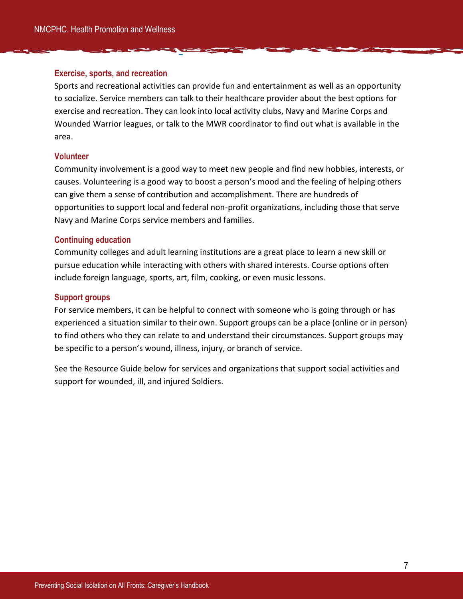#### **Exercise, sports, and recreation**

Sports and recreational activities can provide fun and entertainment as well as an opportunity to socialize. Service members can talk to their healthcare provider about the best options for exercise and recreation. They can look into local activity clubs, Navy and Marine Corps and Wounded Warrior leagues, or talk to the MWR coordinator to find out what is available in the area.

#### **Volunteer**

Community involvement is a good way to meet new people and find new hobbies, interests, or causes. Volunteering is a good way to boost a person's mood and the feeling of helping others can give them a sense of contribution and accomplishment. There are hundreds of opportunities to support local and federal non-profit organizations, including those that serve Navy and Marine Corps service members and families.

#### **Continuing education**

Community colleges and adult learning institutions are a great place to learn a new skill or pursue education while interacting with others with shared interests. Course options often include foreign language, sports, art, film, cooking, or even music lessons.

#### **Support groups**

For service members, it can be helpful to connect with someone who is going through or has experienced a situation similar to their own. Support groups can be a place (online or in person) to find others who they can relate to and understand their circumstances. Support groups may be specific to a person's wound, illness, injury, or branch of service.

See the Resource Guide below for services and organizations that support social activities and support for wounded, ill, and injured Soldiers.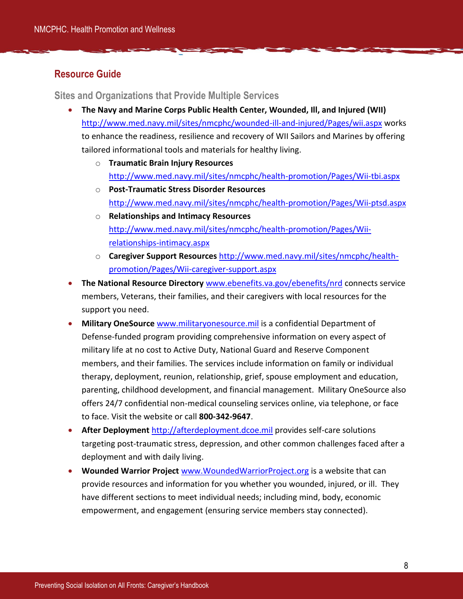## <span id="page-9-0"></span>**Resource Guide**

<span id="page-9-1"></span>**Sites and Organizations that Provide Multiple Services**

- **The Navy and Marine Corps Public Health Center, Wounded, Ill, and Injured (WII)**  <http://www.med.navy.mil/sites/nmcphc/wounded-ill-and-injured/Pages/wii.aspx> works to enhance the readiness, resilience and recovery of WII Sailors and Marines by offering tailored informational tools and materials for healthy living.
	- o **Traumatic Brain Injury Resources**  <http://www.med.navy.mil/sites/nmcphc/health-promotion/Pages/Wii-tbi.aspx>
	- o **Post-Traumatic Stress Disorder Resources**  <http://www.med.navy.mil/sites/nmcphc/health-promotion/Pages/Wii-ptsd.aspx>
	- o **Relationships and Intimacy Resources**  [http://www.med.navy.mil/sites/nmcphc/health-promotion/Pages/Wii](http://www.med.navy.mil/sites/nmcphc/health-promotion/Pages/Wii-relationships-intimacy.aspx)[relationships-intimacy.aspx](http://www.med.navy.mil/sites/nmcphc/health-promotion/Pages/Wii-relationships-intimacy.aspx)
	- o **Caregiver Support Resources** [http://www.med.navy.mil/sites/nmcphc/health](http://www.med.navy.mil/sites/nmcphc/health-promotion/Pages/Wii-caregiver-support.aspx)[promotion/Pages/Wii-caregiver-support.aspx](http://www.med.navy.mil/sites/nmcphc/health-promotion/Pages/Wii-caregiver-support.aspx)
- **The National Resource Directory** [www.ebenefits.va.gov/ebenefits/nrd](http://www.ebenefits.va.gov/ebenefits/nrd) connects service members, Veterans, their families, and their caregivers with local resources for the support you need.
- **Military OneSource** [www.militaryonesource.mil](http://www.militaryonesource.mil/) is a confidential Department of Defense-funded program providing comprehensive information on every aspect of military life at no cost to Active Duty, National Guard and Reserve Component members, and their families. The services include information on family or individual therapy, deployment, reunion, relationship, grief, spouse employment and education, parenting, childhood development, and financial management. Military OneSource also offers 24/7 confidential non-medical counseling services online, via telephone, or face to face. Visit the website or call **800-342-9647**.
- **After Deployment** [http://afterdeployment.dcoe.mil](http://afterdeployment.dcoe.mil/) provides self-care solutions targeting post-traumatic stress, depression, and other common challenges faced after a deployment and with daily living.
- **Wounded Warrior Project** [www.WoundedWarriorProject.org](http://www.woundedwarriorproject.org/) is a website that can provide resources and information for you whether you wounded, injured, or ill. They have different sections to meet individual needs; including mind, body, economic empowerment, and engagement (ensuring service members stay connected).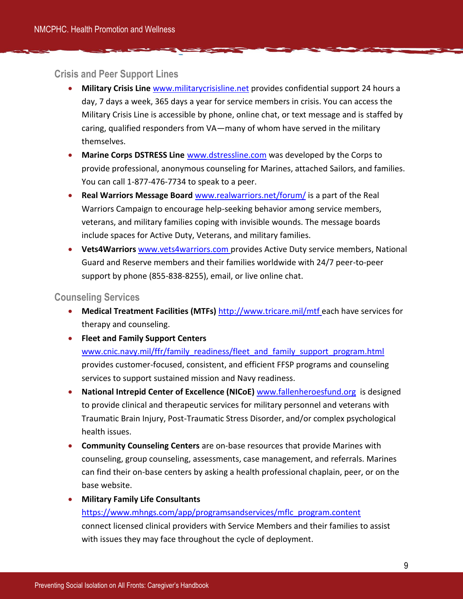## <span id="page-10-0"></span>**Crisis and Peer Support Lines**

- **Military Crisis Line** [www.militarycrisisline.net](http://www.militarycrisisline.net/) provides confidential support 24 hours a day, 7 days a week, 365 days a year for service members in crisis. You can access the Military Crisis Line is accessible by phone, online chat, or text message and is staffed by caring, qualified responders from VA—many of whom have served in the military themselves.
- **Marine Corps DSTRESS Line** [www.dstressline.com](http://www.dstressline.com/) was developed by the Corps to provide professional, anonymous counseling for Marines, attached Sailors, and families. You can call 1-877-476-7734 to speak to a peer.
- **Real Warriors Message Board** [www.realwarriors.net/forum/](http://www.realwarriors.net/forum/) is a part of the Real Warriors Campaign to encourage help-seeking behavior among service members, veterans, and military families coping with invisible wounds. The message boards include spaces for Active Duty, Veterans, and military families.
- **Vets4Warriors** [www.vets4warriors.com](http://www.vets4warriors.com/) provides Active Duty service members, National Guard and Reserve members and their families worldwide with 24/7 peer-to-peer support by phone (855-838-8255), email, or live online chat.

## <span id="page-10-1"></span>**Counseling Services**

- **Medical Treatment Facilities (MTFs)** <http://www.tricare.mil/mtf> each have services for therapy and counseling.
- **Fleet and Family Support Centers**

[www.cnic.navy.mil/ffr/family\\_readiness/fleet\\_and\\_family\\_support\\_program.html](http://www.cnic.navy.mil/ffr/family_readiness/fleet_and_family_support_program.html) provides customer-focused, consistent, and efficient FFSP programs and counseling services to support sustained mission and Navy readiness.

- **National Intrepid Center of Excellence (NICoE)** [www.fallenheroesfund.org](http://www.fallenheroesfund.org/) is designed to provide clinical and therapeutic services for military personnel and veterans with Traumatic Brain Injury, Post-Traumatic Stress Disorder, and/or complex psychological health issues.
- **Community Counseling Centers** are on-base resources that provide Marines with counseling, group counseling, assessments, case management, and referrals. Marines can find their on-base centers by asking a health professional chaplain, peer, or on the base website.
- **Military Family Life Consultants**

## [https://www.mhngs.com/app/programsandservices/mflc\\_program.content](https://www.mhngs.com/app/programsandservices/mflc_program.content) connect licensed clinical providers with Service Members and their families to assist with issues they may face throughout the cycle of deployment.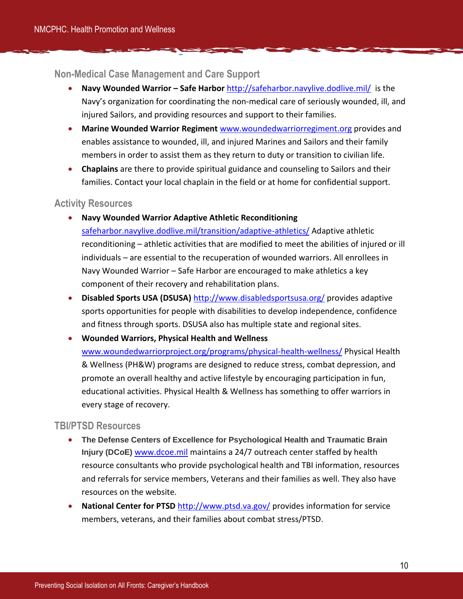## <span id="page-11-0"></span>**Non-Medical Case Management and Care Support**

- **Navy Wounded Warrior – Safe Harbor** <http://safeharbor.navylive.dodlive.mil/>is the Navy's organization for coordinating the non-medical care of seriously wounded, ill, and injured Sailors, and providing resources and support to their families.
- **Marine Wounded Warrior Regiment** [www.woundedwarriorregiment.org](http://www.woundedwarriorregiment.org/) provides and enables assistance to wounded, ill, and injured Marines and Sailors and their family members in order to assist them as they return to duty or transition to civilian life.
- **Chaplains** are there to provide spiritual guidance and counseling to Sailors and their families. Contact your local chaplain in the field or at home for confidential support.

### <span id="page-11-1"></span>**Activity Resources**

- **Navy Wounded Warrior Adaptive Athletic Reconditioning** [safeharbor.navylive.dodlive.mil/transition/adaptive-athletics/](http://safeharbor.navylive.dodlive.mil/transition/adaptive-athletics/) Adaptive athletic reconditioning – athletic activities that are modified to meet the abilities of injured or ill individuals – are essential to the recuperation of wounded warriors. All enrollees in Navy Wounded Warrior – Safe Harbor are encouraged to make athletics a key component of their recovery and rehabilitation plans.
- **Disabled Sports USA (DSUSA)** <http://www.disabledsportsusa.org/> provides adaptive sports opportunities for people with disabilities to develop independence, confidence and fitness through sports. DSUSA also has multiple state and regional sites.
- **Wounded Warriors, Physical Health and Wellness**

[www.woundedwarriorproject.org/programs/physical-health-wellness/](http://www.woundedwarriorproject.org/programs/physical-health-wellness/) Physical Health & Wellness (PH&W) programs are designed to reduce stress, combat depression, and promote an overall healthy and active lifestyle by encouraging participation in fun, educational activities. Physical Health & Wellness has something to offer warriors in every stage of recovery.

## <span id="page-11-2"></span>**TBI/PTSD Resources**

- **The Defense Centers of Excellence for Psychological Health and Traumatic Brain Injury (DCoE)** [www.dcoe.mil](http://www.dcoe.mil/) maintains a 24/7 outreach center staffed by health resource consultants who provide psychological health and TBI information, resources and referrals for service members, Veterans and their families as well. They also have resources on the website.
- **National Center for PTSD** <http://www.ptsd.va.gov/> provides information for service members, veterans, and their families about combat stress/PTSD.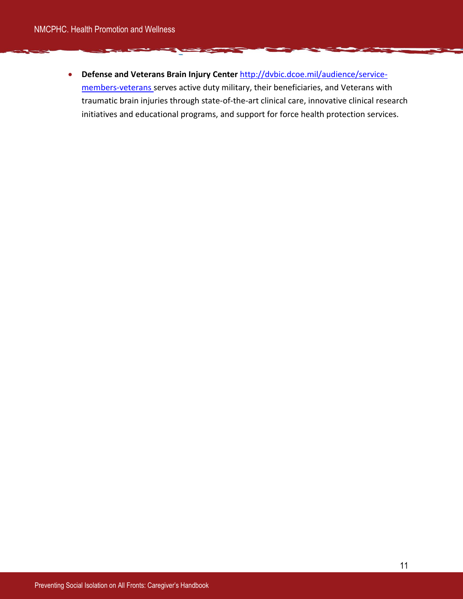**Defense and Veterans Brain Injury Center** [http://dvbic.dcoe.mil/audience/service](http://dvbic.dcoe.mil/audience/service-members-veterans)[members-veterans](http://dvbic.dcoe.mil/audience/service-members-veterans) serves active duty military, their beneficiaries, and Veterans with traumatic brain injuries through state-of-the-art clinical care, innovative clinical research initiatives and educational programs, and support for force health protection services.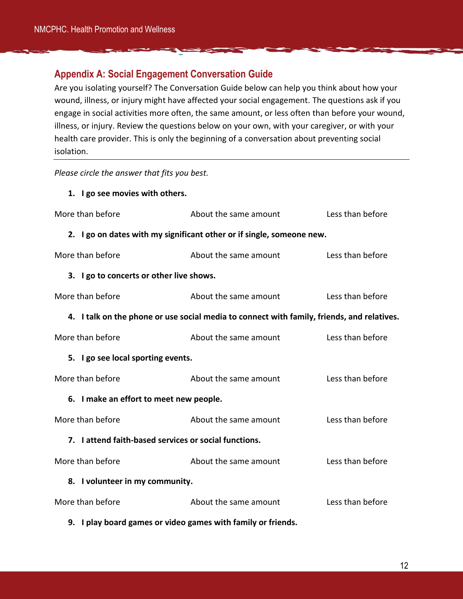## <span id="page-13-0"></span>**Appendix A: Social Engagement Conversation Guide**

Are you isolating yourself? The Conversation Guide below can help you think about how your wound, illness, or injury might have affected your social engagement. The questions ask if you engage in social activities more often, the same amount, or less often than before your wound, illness, or injury. Review the questions below on your own, with your caregiver, or with your health care provider. This is only the beginning of a conversation about preventing social isolation.

*Please circle the answer that fits you best.* 

**1. I go see movies with others.** 

| More than before                                                                           | About the same amount | Less than before |  |  |  |
|--------------------------------------------------------------------------------------------|-----------------------|------------------|--|--|--|
| 2. I go on dates with my significant other or if single, someone new.                      |                       |                  |  |  |  |
| More than before                                                                           | About the same amount | Less than before |  |  |  |
| 3. I go to concerts or other live shows.                                                   |                       |                  |  |  |  |
| More than before                                                                           | About the same amount | Less than before |  |  |  |
| 4. I talk on the phone or use social media to connect with family, friends, and relatives. |                       |                  |  |  |  |
| More than before                                                                           | About the same amount | Less than before |  |  |  |
| 5. I go see local sporting events.                                                         |                       |                  |  |  |  |
| More than before                                                                           | About the same amount | Less than before |  |  |  |
| 6. I make an effort to meet new people.                                                    |                       |                  |  |  |  |
| More than before                                                                           | About the same amount | Less than before |  |  |  |
| 7. I attend faith-based services or social functions.                                      |                       |                  |  |  |  |
| More than before                                                                           | About the same amount | Less than before |  |  |  |
| 8. I volunteer in my community.                                                            |                       |                  |  |  |  |
| More than before                                                                           | About the same amount | Less than before |  |  |  |
| 9. I play board games or video games with family or friends.                               |                       |                  |  |  |  |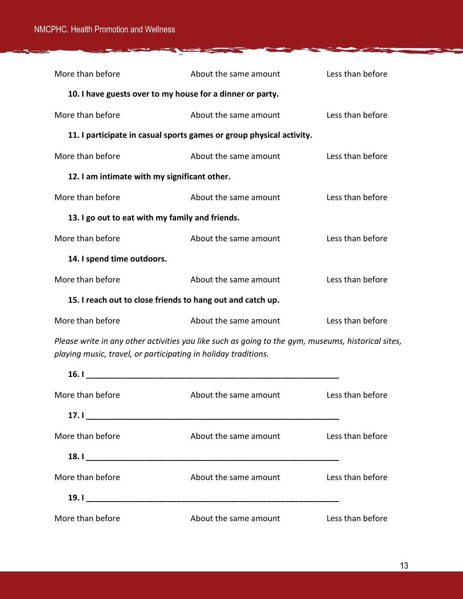| More than before                                                     | About the same amount                     | Less than before |  |  |
|----------------------------------------------------------------------|-------------------------------------------|------------------|--|--|
| 10. I have guests over to my house for a dinner or party.            |                                           |                  |  |  |
| More than before                                                     | About the same amount                     | Less than before |  |  |
| 11. I participate in casual sports games or group physical activity. |                                           |                  |  |  |
| More than before                                                     | About the same amount                     | Less than before |  |  |
| 12. I am intimate with my significant other.                         |                                           |                  |  |  |
| More than before                                                     | About the same amount                     | Less than before |  |  |
| 13. I go out to eat with my family and friends.                      |                                           |                  |  |  |
| More than before                                                     | About the same amount                     | Less than before |  |  |
| 14. I spend time outdoors.                                           |                                           |                  |  |  |
| More than before                                                     | About the same amount                     | Less than before |  |  |
| 15. I reach out to close friends to hang out and catch up.           |                                           |                  |  |  |
| More than before                                                     | About the same amount<br>Less than before |                  |  |  |

3

*Please write in any other activities you like such as going to the gym, museums, historical sites, playing music, travel, or participating in holiday traditions.* 

| 16.1             |                       |                  |
|------------------|-----------------------|------------------|
| More than before | About the same amount | Less than before |
|                  |                       |                  |
| More than before | About the same amount | Less than before |
| 18.1             |                       |                  |
| More than before | About the same amount | Less than before |
|                  | 19. I                 |                  |
| More than before | About the same amount | Less than before |